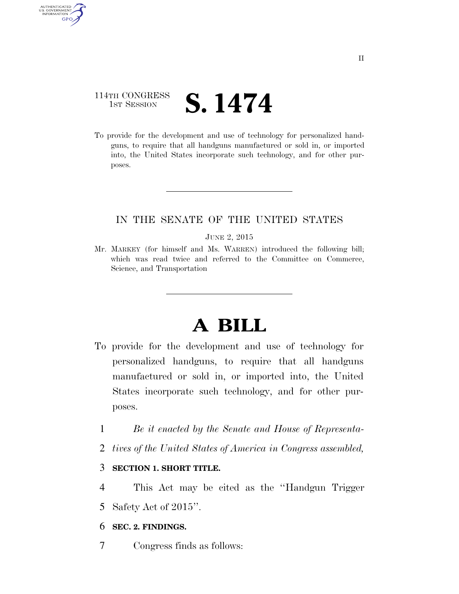# 114TH CONGRESS  $\frac{1}{1}$ ST SESSION  $S. 1474$

AUTHENTICATED<br>U.S. GOVERNMENT<br>INFORMATION

**GPO** 

To provide for the development and use of technology for personalized handguns, to require that all handguns manufactured or sold in, or imported into, the United States incorporate such technology, and for other purposes.

# IN THE SENATE OF THE UNITED STATES

#### JUNE 2, 2015

Mr. MARKEY (for himself and Ms. WARREN) introduced the following bill; which was read twice and referred to the Committee on Commerce, Science, and Transportation

# **A BILL**

- To provide for the development and use of technology for personalized handguns, to require that all handguns manufactured or sold in, or imported into, the United States incorporate such technology, and for other purposes.
	- 1 *Be it enacted by the Senate and House of Representa-*
	- 2 *tives of the United States of America in Congress assembled,*

# 3 **SECTION 1. SHORT TITLE.**

- 4 This Act may be cited as the ''Handgun Trigger
- 5 Safety Act of 2015''.

#### 6 **SEC. 2. FINDINGS.**

7 Congress finds as follows: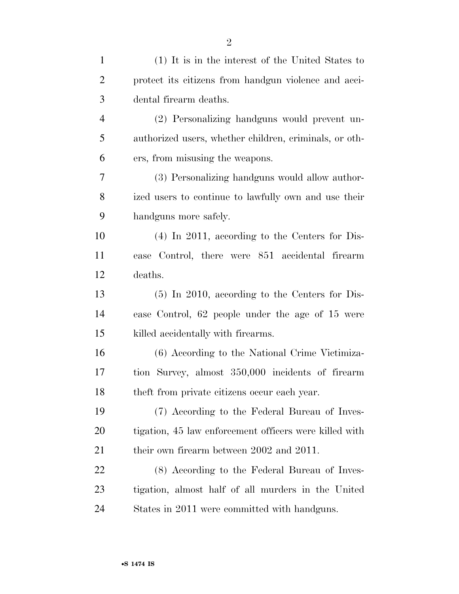| $\mathbf{1}$   | (1) It is in the interest of the United States to      |
|----------------|--------------------------------------------------------|
| $\overline{2}$ | protect its citizens from handgun violence and acci-   |
| 3              | dental firearm deaths.                                 |
| $\overline{4}$ | (2) Personalizing handguns would prevent un-           |
| 5              | authorized users, whether children, criminals, or oth- |
| 6              | ers, from misusing the weapons.                        |
| 7              | (3) Personalizing handguns would allow author-         |
| 8              | ized users to continue to lawfully own and use their   |
| 9              | handguns more safely.                                  |
| 10             | $(4)$ In 2011, according to the Centers for Dis-       |
| 11             | ease Control, there were 851 accidental firearm        |
| 12             | deaths.                                                |
| 13             | $(5)$ In 2010, according to the Centers for Dis-       |
| 14             | ease Control, 62 people under the age of 15 were       |
| 15             | killed accidentally with firearms.                     |
| 16             | (6) According to the National Crime Victimiza-         |
| 17             | tion Survey, almost 350,000 incidents of firearm       |
| 18             | theft from private citizens occur each year.           |
| 19             | (7) According to the Federal Bureau of Inves-          |
| 20             | tigation, 45 law enforcement officers were killed with |
| 21             | their own firearm between 2002 and 2011.               |
| 22             | (8) According to the Federal Bureau of Inves-          |
| 23             | tigation, almost half of all murders in the United     |
| 24             | States in 2011 were committed with handguns.           |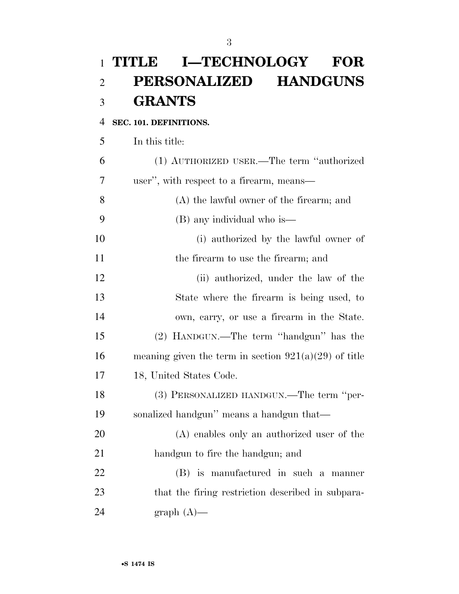# **TITLE I—TECHNOLOGY FOR PERSONALIZED HANDGUNS GRANTS**

## **SEC. 101. DEFINITIONS.**

In this title:

 (1) AUTHORIZED USER.—The term ''authorized user'', with respect to a firearm, means— (A) the lawful owner of the firearm; and (B) any individual who is—

 (i) authorized by the lawful owner of 11 the firearm to use the firearm; and

 (ii) authorized, under the law of the State where the firearm is being used, to own, carry, or use a firearm in the State. (2) HANDGUN.—The term ''handgun'' has the 16 meaning given the term in section  $921(a)(29)$  of title 18, United States Code.

 (3) PERSONALIZED HANDGUN.—The term ''per-sonalized handgun'' means a handgun that—

 (A) enables only an authorized user of the handgun to fire the handgun; and

 (B) is manufactured in such a manner that the firing restriction described in subpara-24 graph  $(A)$ —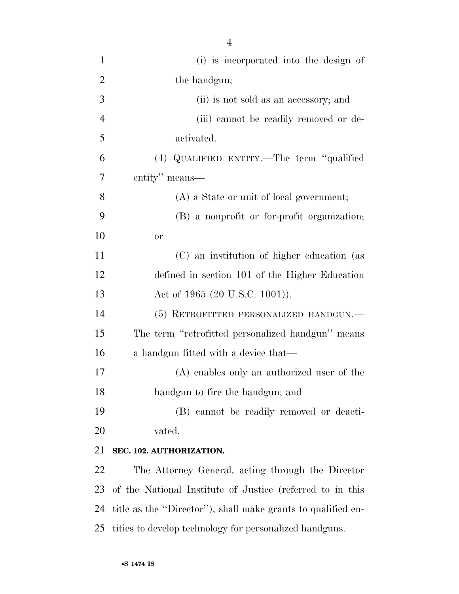| $\mathbf{1}$   | (i) is incorporated into the design of                       |
|----------------|--------------------------------------------------------------|
| $\overline{2}$ | the handgun;                                                 |
| 3              | (ii) is not sold as an accessory; and                        |
| $\overline{4}$ | (iii) cannot be readily removed or de-                       |
| 5              | activated.                                                   |
| 6              | (4) QUALIFIED ENTITY.—The term "qualified                    |
| 7              | entity" means—                                               |
| 8              | $(A)$ a State or unit of local government;                   |
| 9              | (B) a nonprofit or for-profit organization;                  |
| 10             | <b>or</b>                                                    |
| 11             | (C) an institution of higher education (as                   |
| 12             | defined in section 101 of the Higher Education               |
| 13             | Act of 1965 (20 U.S.C. 1001)).                               |
| 14             | (5) RETROFITTED PERSONALIZED HANDGUN.—                       |
| 15             | The term "retrofitted personalized handgun" means            |
| 16             | a handgun fitted with a device that—                         |
| 17             | (A) enables only an authorized user of the                   |
| 18             | handgun to fire the handgun; and                             |
| 19             | (B) cannot be readily removed or deacti-                     |
| 20             | vated.                                                       |
| 21             | SEC. 102. AUTHORIZATION.                                     |
| 22             | The Attorney General, acting through the Director            |
| 23             | of the National Institute of Justice (referred to in this    |
| 24             | title as the "Director"), shall make grants to qualified en- |
| 25             | tities to develop technology for personalized handguns.      |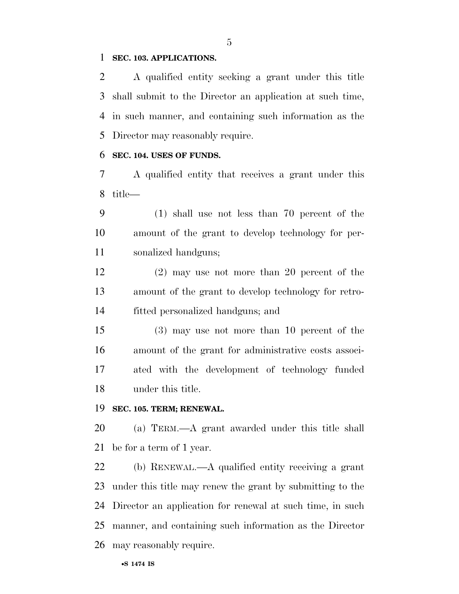### **SEC. 103. APPLICATIONS.**

 A qualified entity seeking a grant under this title shall submit to the Director an application at such time, in such manner, and containing such information as the Director may reasonably require.

#### **SEC. 104. USES OF FUNDS.**

 A qualified entity that receives a grant under this title—

 (1) shall use not less than 70 percent of the amount of the grant to develop technology for per-sonalized handguns;

 (2) may use not more than 20 percent of the amount of the grant to develop technology for retro-fitted personalized handguns; and

 (3) may use not more than 10 percent of the amount of the grant for administrative costs associ- ated with the development of technology funded under this title.

## **SEC. 105. TERM; RENEWAL.**

 (a) TERM.—A grant awarded under this title shall be for a term of 1 year.

 (b) RENEWAL.—A qualified entity receiving a grant under this title may renew the grant by submitting to the Director an application for renewal at such time, in such manner, and containing such information as the Director may reasonably require.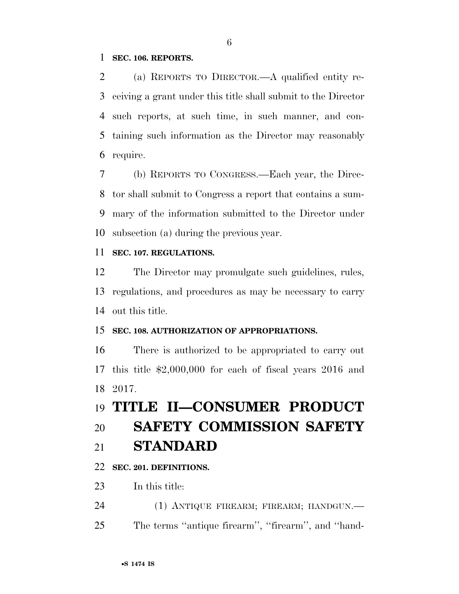### **SEC. 106. REPORTS.**

 (a) REPORTS TO DIRECTOR.—A qualified entity re- ceiving a grant under this title shall submit to the Director such reports, at such time, in such manner, and con- taining such information as the Director may reasonably require.

 (b) REPORTS TO CONGRESS.—Each year, the Direc- tor shall submit to Congress a report that contains a sum- mary of the information submitted to the Director under subsection (a) during the previous year.

## **SEC. 107. REGULATIONS.**

 The Director may promulgate such guidelines, rules, regulations, and procedures as may be necessary to carry out this title.

### **SEC. 108. AUTHORIZATION OF APPROPRIATIONS.**

 There is authorized to be appropriated to carry out this title \$2,000,000 for each of fiscal years 2016 and 2017.

# **TITLE II—CONSUMER PRODUCT**

# **SAFETY COMMISSION SAFETY**

**STANDARD** 

# **SEC. 201. DEFINITIONS.**

- In this title:
- 24 (1) ANTIQUE FIREARM; FIREARM; HANDGUN.—
- The terms ''antique firearm'', ''firearm'', and ''hand-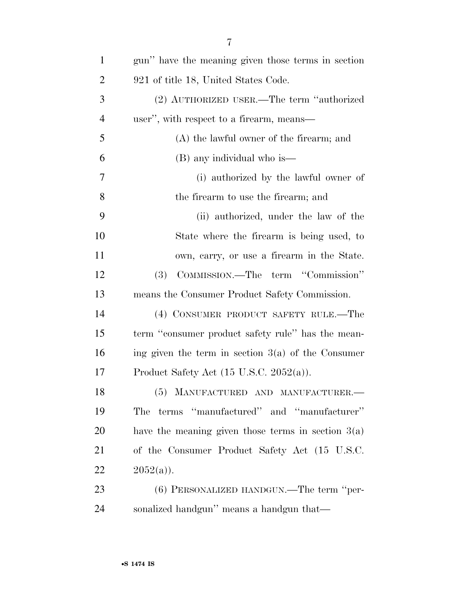| $\mathbf{1}$   | gun" have the meaning given those terms in section   |
|----------------|------------------------------------------------------|
| $\overline{2}$ | 921 of title 18, United States Code.                 |
| 3              | (2) AUTHORIZED USER.—The term "authorized            |
| 4              | user", with respect to a firearm, means—             |
| 5              | $(A)$ the lawful owner of the firearm; and           |
| 6              | $(B)$ any individual who is—                         |
| 7              | (i) authorized by the lawful owner of                |
| 8              | the firearm to use the firearm; and                  |
| 9              | (ii) authorized, under the law of the                |
| 10             | State where the firearm is being used, to            |
| 11             | own, carry, or use a firearm in the State.           |
| 12             | COMMISSION.—The term "Commission"<br>(3)             |
| 13             | means the Consumer Product Safety Commission.        |
| 14             | (4) CONSUMER PRODUCT SAFETY RULE.—The                |
| 15             | term "consumer product safety rule" has the mean-    |
| 16             | ing given the term in section $3(a)$ of the Consumer |
| 17             | Product Safety Act $(15 \text{ U.S.C. } 2052(a))$ .  |
| 18             | (5) MANUFACTURED AND MANUFACTURER.-                  |
| 19             | terms "manufactured" and "manufacturer"<br>The       |
| 20             | have the meaning given those terms in section $3(a)$ |
| 21             | of the Consumer Product Safety Act (15 U.S.C.        |
| 22             | $2052(a)$ ).                                         |
| 23             | (6) PERSONALIZED HANDGUN.—The term "per-             |
| 24             | sonalized handgun" means a handgun that—             |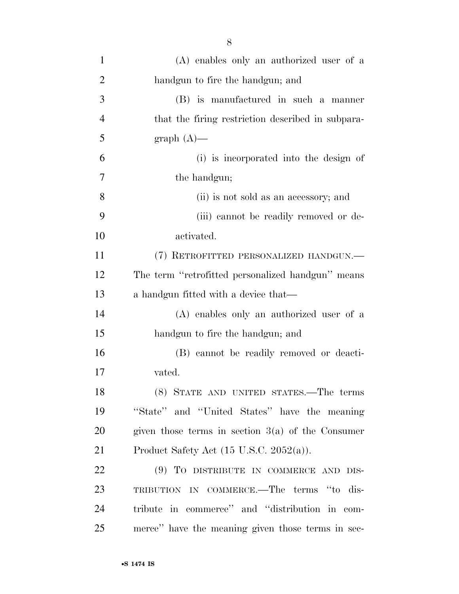| $\mathbf{1}$   | (A) enables only an authorized user of a            |
|----------------|-----------------------------------------------------|
| $\overline{2}$ | handgun to fire the handgun; and                    |
| 3              | (B) is manufactured in such a manner                |
| $\overline{4}$ | that the firing restriction described in subpara-   |
| 5              | $graph(A)$ —                                        |
| 6              | (i) is incorporated into the design of              |
| 7              | the handgun;                                        |
| 8              | (ii) is not sold as an accessory; and               |
| 9              | (iii) cannot be readily removed or de-              |
| 10             | activated.                                          |
| 11             | (7) RETROFITTED PERSONALIZED HANDGUN.—              |
| 12             | The term "retrofitted personalized handgun" means   |
| 13             | a handgun fitted with a device that—                |
| 14             | (A) enables only an authorized user of a            |
| 15             | handgun to fire the handgun; and                    |
| 16             | (B) cannot be readily removed or deacti-            |
| 17             | vated.                                              |
| 18             | (8) STATE AND UNITED STATES.—The terms              |
| 19             | "State" and "United States" have the meaning        |
| 20             | given those terms in section $3(a)$ of the Consumer |
| 21             | Product Safety Act $(15 \text{ U.S.C. } 2052(a))$ . |
| 22             | (9) TO DISTRIBUTE IN COMMERCE AND DIS-              |
| 23             | TRIBUTION IN COMMERCE.-The terms "to dis-           |
| 24             | tribute in commerce" and "distribution in com-      |
| 25             | merce" have the meaning given those terms in sec-   |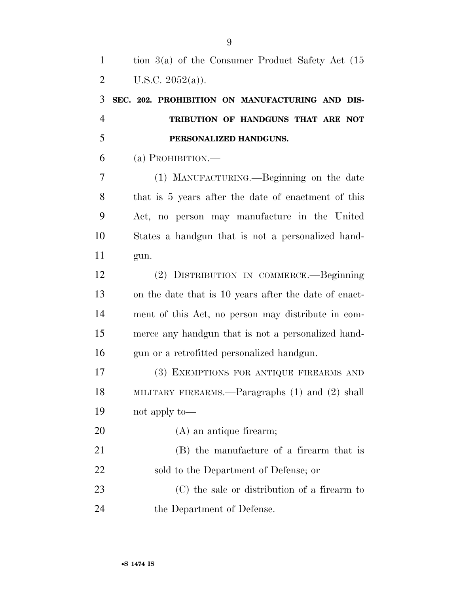**SEC. 202. PROHIBITION ON MANUFACTURING AND DIS- TRIBUTION OF HANDGUNS THAT ARE NOT PERSONALIZED HANDGUNS.** 

(a) PROHIBITION.—

 (1) MANUFACTURING.—Beginning on the date that is 5 years after the date of enactment of this Act, no person may manufacture in the United States a handgun that is not a personalized hand-gun.

 (2) DISTRIBUTION IN COMMERCE.—Beginning on the date that is 10 years after the date of enact- ment of this Act, no person may distribute in com- merce any handgun that is not a personalized hand-gun or a retrofitted personalized handgun.

 (3) EXEMPTIONS FOR ANTIQUE FIREARMS AND MILITARY FIREARMS.—Paragraphs (1) and (2) shall not apply to—

(A) an antique firearm;

 (B) the manufacture of a firearm that is sold to the Department of Defense; or (C) the sale or distribution of a firearm to

the Department of Defense.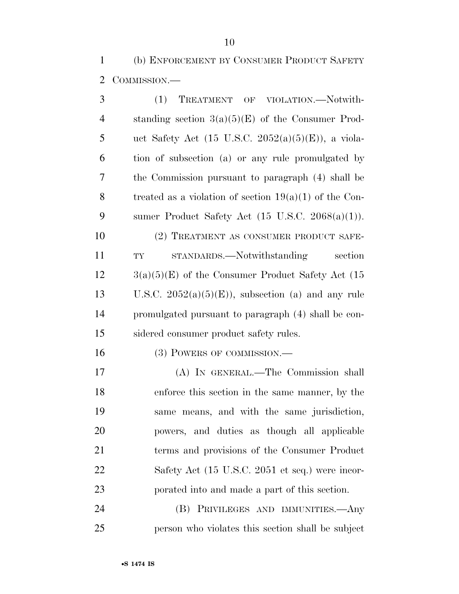(b) ENFORCEMENT BY CONSUMER PRODUCT SAFETY COMMISSION.—

| 3              | TREATMENT OF VIOLATION.-Notwith-<br>(1)                     |
|----------------|-------------------------------------------------------------|
| $\overline{4}$ | standing section $3(a)(5)(E)$ of the Consumer Prod-         |
| 5              | uct Safety Act (15 U.S.C. 2052(a)(5)(E)), a viola-          |
| 6              | tion of subsection (a) or any rule promulgated by           |
| 7              | the Commission pursuant to paragraph (4) shall be           |
| 8              | treated as a violation of section $19(a)(1)$ of the Con-    |
| 9              | sumer Product Safety Act $(15 \text{ U.S.C. } 2068(a)(1)).$ |
| 10             | (2) TREATMENT AS CONSUMER PRODUCT SAFE-                     |
| 11             | STANDARDS.—Notwithstanding<br>section<br>${\rm T}{\rm Y}$   |
| 12             | $3(a)(5)(E)$ of the Consumer Product Safety Act (15)        |
| 13             | U.S.C. $2052(a)(5)(E)$ , subsection (a) and any rule        |
| 14             | promulgated pursuant to paragraph (4) shall be con-         |
| 15             | sidered consumer product safety rules.                      |
| 16             | (3) POWERS OF COMMISSION.—                                  |
| 17             | (A) IN GENERAL.—The Commission shall                        |
| 18             | enforce this section in the same manner, by the             |
| 19             | same means, and with the same jurisdiction,                 |
| 20             | powers, and duties as though all applicable                 |
| 21             | terms and provisions of the Consumer Product                |
| 22             | Safety Act (15 U.S.C. 2051 et seq.) were incor-             |
| 23             | porated into and made a part of this section.               |
| 24             | (B) PRIVILEGES AND IMMUNITIES.—Any                          |
| 25             | person who violates this section shall be subject           |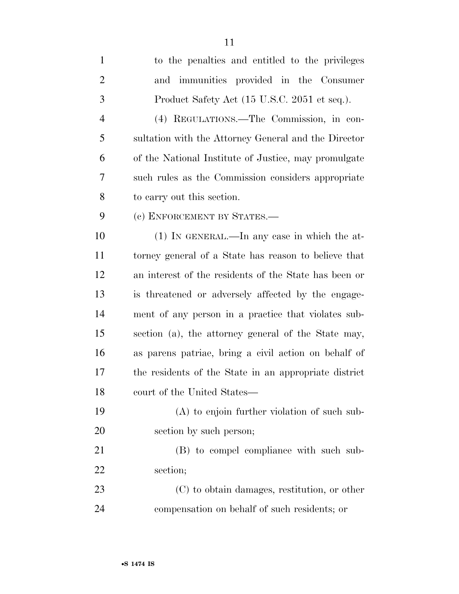| $\mathbf{1}$   | to the penalties and entitled to the privileges       |
|----------------|-------------------------------------------------------|
| $\overline{2}$ | and immunities provided in the Consumer               |
| 3              | Product Safety Act (15 U.S.C. 2051 et seq.).          |
| $\overline{4}$ | (4) REGULATIONS.—The Commission, in con-              |
| 5              | sultation with the Attorney General and the Director  |
| 6              | of the National Institute of Justice, may promulgate  |
| 7              | such rules as the Commission considers appropriate    |
| 8              | to carry out this section.                            |
| 9              | (c) ENFORCEMENT BY STATES.-                           |
| 10             | $(1)$ IN GENERAL.—In any case in which the at-        |
| 11             | torney general of a State has reason to believe that  |
| 12             | an interest of the residents of the State has been or |
| 13             | is threatened or adversely affected by the engage-    |
| 14             | ment of any person in a practice that violates sub-   |
| 15             | section (a), the attorney general of the State may,   |
| 16             | as parens patriae, bring a civil action on behalf of  |
| 17             | the residents of the State in an appropriate district |
| 18             | court of the United States-                           |
| 19             | $(A)$ to enjoin further violation of such sub-        |
| 20             | section by such person;                               |
| 21             | (B) to compel compliance with such sub-               |
| 22             | section;                                              |
| 23             | (C) to obtain damages, restitution, or other          |
| 24             | compensation on behalf of such residents; or          |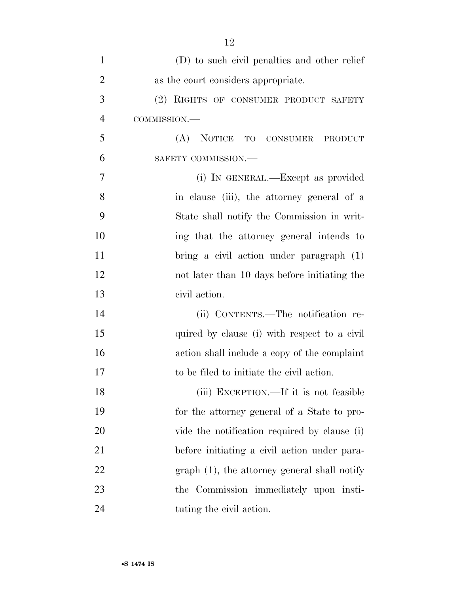| $\mathbf{1}$   | (D) to such civil penalties and other relief   |
|----------------|------------------------------------------------|
| $\overline{2}$ | as the court considers appropriate.            |
| 3              | (2) RIGHTS OF CONSUMER PRODUCT SAFETY          |
| $\overline{4}$ | COMMISSION.-                                   |
| 5              | <b>NOTICE</b><br>(A)<br>TO CONSUMER<br>PRODUCT |
| 6              | SAFETY COMMISSION.-                            |
| $\overline{7}$ | (i) IN GENERAL.—Except as provided             |
| 8              | in clause (iii), the attorney general of a     |
| 9              | State shall notify the Commission in writ-     |
| 10             | ing that the attorney general intends to       |
| 11             | bring a civil action under paragraph (1)       |
| 12             | not later than 10 days before initiating the   |
| 13             | civil action.                                  |
| 14             | (ii) CONTENTS.—The notification re-            |
| 15             | quired by clause (i) with respect to a civil   |
| 16             | action shall include a copy of the complaint   |
| 17             | to be filed to initiate the civil action.      |
| 18             | (iii) EXCEPTION.—If it is not feasible         |
| 19             | for the attorney general of a State to pro-    |
| 20             | vide the notification required by clause (i)   |
| 21             | before initiating a civil action under para-   |
| 22             | $graph(1)$ , the attorney general shall notify |
| 23             | the Commission immediately upon insti-         |
| 24             | tuting the civil action.                       |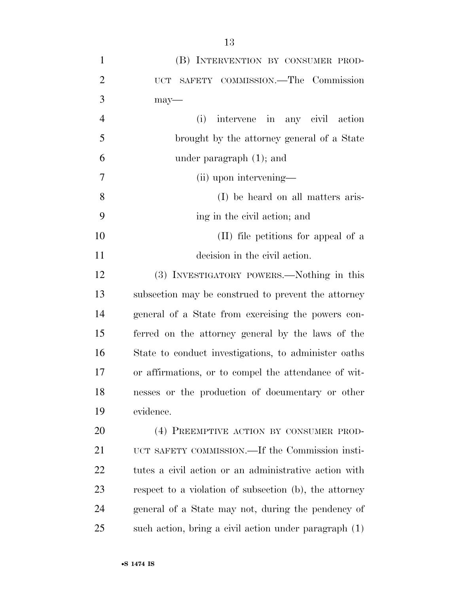| $\mathbf{1}$   | (B) INTERVENTION BY CONSUMER PROD-                     |
|----------------|--------------------------------------------------------|
| $\overline{2}$ | UCT SAFETY COMMISSION.-The Commission                  |
| 3              | $may$ —                                                |
| $\overline{4}$ | (i)<br>intervene in any civil action                   |
| 5              | brought by the attorney general of a State             |
| 6              | under paragraph $(1)$ ; and                            |
| 7              | (ii) upon intervening—                                 |
| 8              | (I) be heard on all matters aris-                      |
| 9              | ing in the civil action; and                           |
| 10             | (II) file petitions for appeal of a                    |
| 11             | decision in the civil action.                          |
| 12             | (3) INVESTIGATORY POWERS.—Nothing in this              |
| 13             | subsection may be construed to prevent the attorney    |
| 14             | general of a State from exercising the powers con-     |
| 15             | ferred on the attorney general by the laws of the      |
| 16             | State to conduct investigations, to administer oaths   |
| 17             | or affirmations, or to compel the attendance of wit-   |
| 18             | nesses or the production of documentary or other       |
| 19             | evidence.                                              |
| 20             | (4) PREEMPTIVE ACTION BY CONSUMER PROD-                |
| 21             | UCT SAFETY COMMISSION.—If the Commission insti-        |
| 22             | tutes a civil action or an administrative action with  |
| 23             | respect to a violation of subsection (b), the attorney |
| 24             | general of a State may not, during the pendency of     |
| 25             | such action, bring a civil action under paragraph (1)  |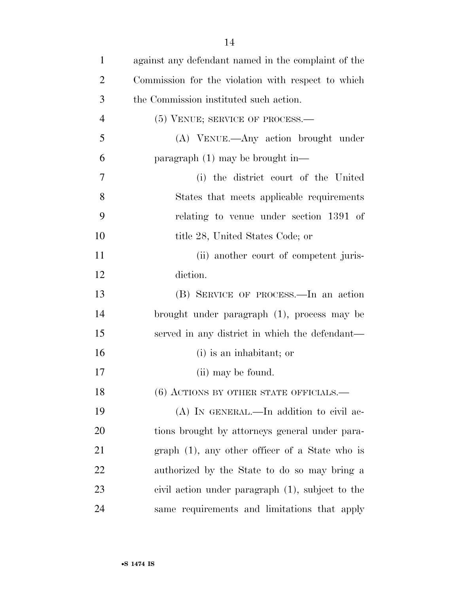| $\mathbf{1}$   | against any defendant named in the complaint of the |
|----------------|-----------------------------------------------------|
| $\overline{2}$ | Commission for the violation with respect to which  |
| 3              | the Commission instituted such action.              |
| $\overline{4}$ | $(5)$ VENUE; SERVICE OF PROCESS.—                   |
| 5              | (A) VENUE.—Any action brought under                 |
| 6              | paragraph $(1)$ may be brought in—                  |
| 7              | (i) the district court of the United                |
| 8              | States that meets applicable requirements           |
| 9              | relating to venue under section 1391 of             |
| 10             | title 28, United States Code; or                    |
| 11             | (ii) another court of competent juris-              |
| 12             | diction.                                            |
| 13             | (B) SERVICE OF PROCESS.—In an action                |
| 14             | brought under paragraph (1), process may be         |
| 15             | served in any district in which the defendant—      |
| 16             | (i) is an inhabitant; or                            |
| 17             | (ii) may be found.                                  |
| 18             | $(6)$ ACTIONS BY OTHER STATE OFFICIALS.—            |
| 19             | (A) IN GENERAL.—In addition to civil ac-            |
| 20             | tions brought by attorneys general under para-      |
| 21             | $graph$ (1), any other officer of a State who is    |
| 22             | authorized by the State to do so may bring a        |
| 23             | civil action under paragraph (1), subject to the    |
| 24             | same requirements and limitations that apply        |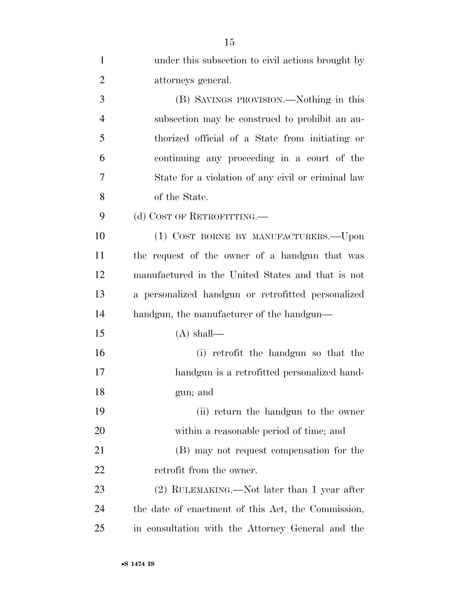| $\mathbf{1}$   | under this subsection to civil actions brought by  |
|----------------|----------------------------------------------------|
| $\overline{2}$ | attorneys general.                                 |
| 3              | (B) SAVINGS PROVISION.—Nothing in this             |
| $\overline{4}$ | subsection may be construed to prohibit an au-     |
| 5              | thorized official of a State from initiating or    |
| 6              | continuing any proceeding in a court of the        |
| 7              | State for a violation of any civil or criminal law |
| 8              | of the State.                                      |
| 9              | (d) COST OF RETROFITTING.                          |
| 10             | (1) COST BORNE BY MANUFACTURERS.-Upon              |
| 11             | the request of the owner of a handgun that was     |
| 12             | manufactured in the United States and that is not  |
| 13             | a personalized handgun or retrofitted personalized |
| 14             | handgun, the manufacturer of the handgun—          |
| 15             | $(A)$ shall—                                       |
| 16             | (i) retrofit the handgun so that the               |
| 17             | handgun is a retrofitted personalized hand-        |
| 18             | gun; and                                           |
| 19             | (ii) return the handgun to the owner               |
| 20             | within a reasonable period of time; and            |
| 21             | (B) may not request compensation for the           |
| 22             | retrofit from the owner.                           |
| 23             | (2) RULEMAKING.—Not later than 1 year after        |
| 24             | the date of enactment of this Act, the Commission, |
| 25             | in consultation with the Attorney General and the  |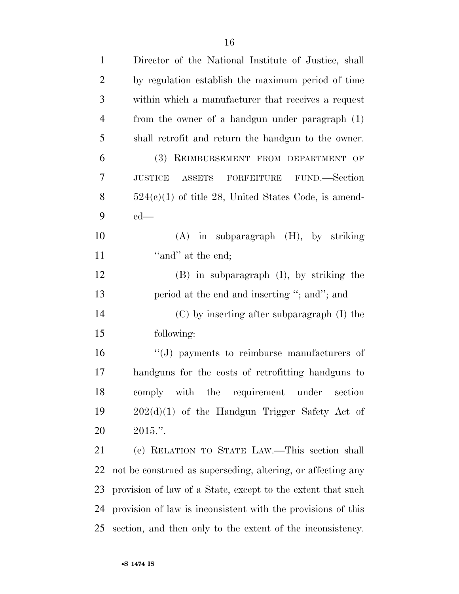| $\mathbf{1}$   | Director of the National Institute of Justice, shall         |
|----------------|--------------------------------------------------------------|
| $\overline{2}$ | by regulation establish the maximum period of time           |
| 3              | within which a manufacturer that receives a request          |
| $\overline{4}$ | from the owner of a handgun under paragraph (1)              |
| 5              | shall retrofit and return the handgun to the owner.          |
| 6              | (3) REIMBURSEMENT FROM DEPARTMENT OF                         |
| 7              | FORFEITURE FUND.—Section<br><b>JUSTICE</b><br><b>ASSETS</b>  |
| 8              | $524(c)(1)$ of title 28, United States Code, is amend-       |
| 9              | $ed$ —                                                       |
| 10             | $(A)$ in subparagraph $(H)$ , by striking                    |
| 11             | "and" at the end;                                            |
| 12             | $(B)$ in subparagraph $(I)$ , by striking the                |
| 13             | period at the end and inserting "; and"; and                 |
| 14             | $(C)$ by inserting after subparagraph $(I)$ the              |
| 15             | following:                                                   |
| 16             | $\lq\lq(J)$ payments to reimburse manufacturers of           |
| 17             | handguns for the costs of retrofitting handguns to           |
| 18             | comply with the requirement<br>under<br>section              |
| 19             | $202(d)(1)$ of the Handgun Trigger Safety Act of             |
| <b>20</b>      | $2015."$ .                                                   |
| 21             | (e) RELATION TO STATE LAW.—This section shall                |
| 22             | not be construed as superseding, altering, or affecting any  |
| 23             | provision of law of a State, except to the extent that such  |
| 24             | provision of law is inconsistent with the provisions of this |
| 25             | section, and then only to the extent of the inconsistency.   |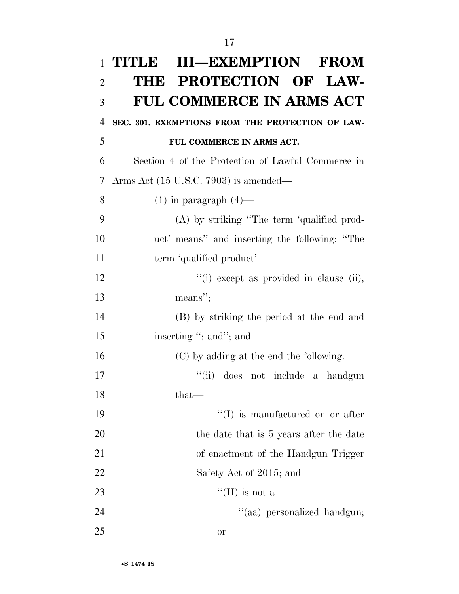| $\mathbf{1}$   | <b>III-EXEMPTION FROM</b><br><b>TITLE</b>         |
|----------------|---------------------------------------------------|
| $\overline{2}$ | THE PROTECTION OF LAW-                            |
| 3              | <b>FUL COMMERCE IN ARMS ACT</b>                   |
| $\overline{4}$ | SEC. 301. EXEMPTIONS FROM THE PROTECTION OF LAW-  |
| 5              | FUL COMMERCE IN ARMS ACT.                         |
| 6              | Section 4 of the Protection of Lawful Commerce in |
| 7              | Arms Act $(15 \text{ U.S.C. } 7903)$ is amended—  |
| 8              | $(1)$ in paragraph $(4)$ —                        |
| 9              | (A) by striking "The term 'qualified prod-        |
| 10             | uct' means" and inserting the following: "The     |
| 11             | term 'qualified product'—                         |
| 12             | "(i) except as provided in clause (ii),           |
| 13             | means";                                           |
| 14             | (B) by striking the period at the end and         |
| 15             | inserting "; and"; and                            |
| 16             | (C) by adding at the end the following:           |
| 17             | ``(ii)<br>does not include a handgun              |
| 18             | that—                                             |
| 19             | $\lq\lq$ is manufactured on or after              |
| 20             | the date that is 5 years after the date           |
| 21             | of enactment of the Handgun Trigger               |
| 22             | Safety Act of 2015; and                           |
| 23             | "(II) is not a—                                   |
| 24             | "(aa) personalized handgun;                       |
| 25             | <b>or</b>                                         |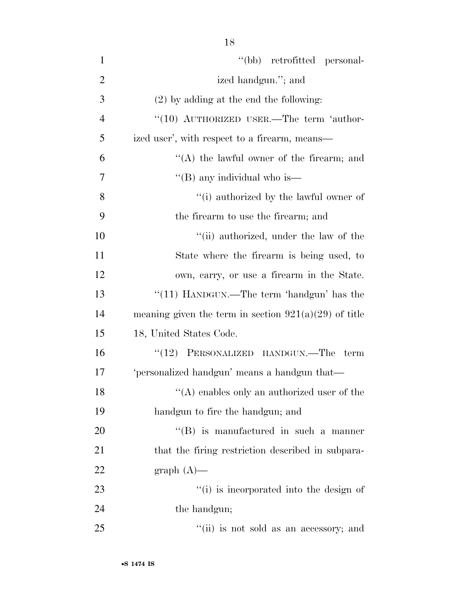| $\mathbf{1}$   | "(bb) retrofitted personal-                             |
|----------------|---------------------------------------------------------|
| $\overline{2}$ | ized handgun."; and                                     |
| 3              | $(2)$ by adding at the end the following:               |
| $\overline{4}$ | " $(10)$ AUTHORIZED USER.—The term 'author-             |
| 5              | ized user', with respect to a firearm, means—           |
| 6              | $\lq\lq$ the lawful owner of the firearm; and           |
| 7              | "(B) any individual who is—                             |
| 8              | "(i) authorized by the lawful owner of                  |
| 9              | the firearm to use the firearm; and                     |
| 10             | "(ii) authorized, under the law of the                  |
| 11             | State where the firearm is being used, to               |
| 12             | own, carry, or use a firearm in the State.              |
| 13             | "(11) HANDGUN.—The term 'handgun' has the               |
| 14             | meaning given the term in section $921(a)(29)$ of title |
| 15             | 18, United States Code.                                 |
| 16             | $(12)$ PERSONALIZED HANDGUN.—The<br>term                |
| 17             | 'personalized handgun' means a handgun that—            |
| 18             | $"$ (A) enables only an authorized user of the          |
| 19             | handgun to fire the handgun; and                        |
| 20             | $\lq\lq$ is manufactured in such a manner               |
| 21             | that the firing restriction described in subpara-       |
| 22             | $graph(A)$ —                                            |
| 23             | "(i) is incorporated into the design of                 |
| 24             | the handgun;                                            |
| 25             | "(ii) is not sold as an accessory; and                  |